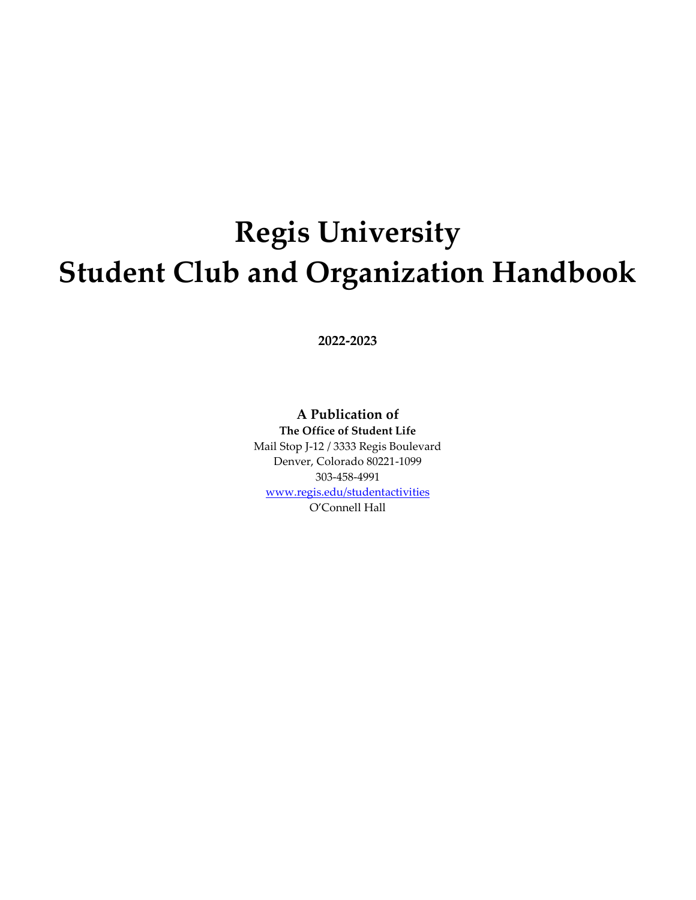# **Regis University Student Club and Organization Handbook**

**2022-2023**

# **A Publication of**

**The Office of Student Life** Mail Stop J-12 / 3333 Regis Boulevard Denver, Colorado 80221-1099 303-458-4991 [www.regis.edu/studentactivities](http://www.regis.edu/studentactivities) O'Connell Hall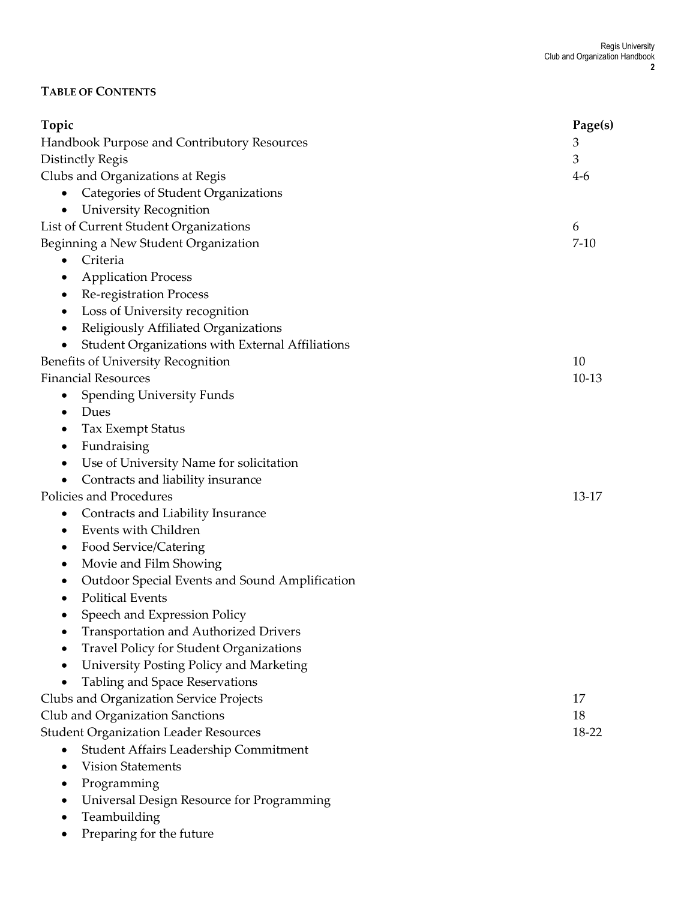#### **TABLE OF CONTENTS**

| Topic                                             | Page(s)  |
|---------------------------------------------------|----------|
| Handbook Purpose and Contributory Resources       | 3        |
| Distinctly Regis                                  | 3        |
| Clubs and Organizations at Regis                  | $4-6$    |
| Categories of Student Organizations               |          |
| University Recognition                            |          |
| List of Current Student Organizations             | 6        |
| Beginning a New Student Organization              | $7 - 10$ |
| Criteria<br>$\bullet$                             |          |
| <b>Application Process</b>                        |          |
| Re-registration Process<br>٠                      |          |
| Loss of University recognition                    |          |
| Religiously Affiliated Organizations<br>$\bullet$ |          |
| Student Organizations with External Affiliations  |          |
| Benefits of University Recognition                | 10       |
| <b>Financial Resources</b>                        | $10-13$  |
| <b>Spending University Funds</b>                  |          |
| Dues                                              |          |
| Tax Exempt Status                                 |          |
| Fundraising                                       |          |
| Use of University Name for solicitation           |          |
| Contracts and liability insurance<br>٠            |          |
| Policies and Procedures                           | 13-17    |
| Contracts and Liability Insurance                 |          |
| Events with Children                              |          |
| Food Service/Catering                             |          |
| Movie and Film Showing                            |          |
| Outdoor Special Events and Sound Amplification    |          |
| <b>Political Events</b>                           |          |
| Speech and Expression Policy<br>٠                 |          |
| <b>Transportation and Authorized Drivers</b>      |          |
| <b>Travel Policy for Student Organizations</b>    |          |
| University Posting Policy and Marketing           |          |
| Tabling and Space Reservations                    |          |
| Clubs and Organization Service Projects           | 17       |
| Club and Organization Sanctions                   | 18       |
| <b>Student Organization Leader Resources</b>      | 18-22    |
| Student Affairs Leadership Commitment             |          |
| <b>Vision Statements</b>                          |          |
| Programming                                       |          |
| Universal Design Resource for Programming         |          |
| Teambuilding                                      |          |
|                                                   |          |
| Preparing for the future                          |          |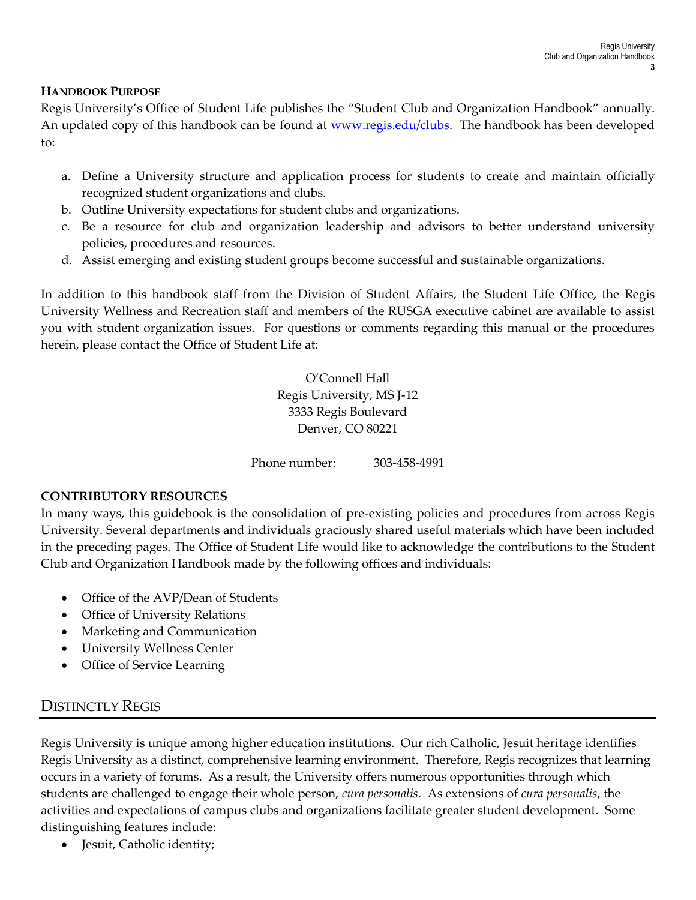#### **HANDBOOK PURPOSE**

Regis University's Office of Student Life publishes the "Student Club and Organization Handbook" annually. An updated copy of this handbook can be found at [www.regis.edu/clubs.](http://www.regis.edu/clubs) The handbook has been developed to:

- a. Define a University structure and application process for students to create and maintain officially recognized student organizations and clubs.
- b. Outline University expectations for student clubs and organizations.
- c. Be a resource for club and organization leadership and advisors to better understand university policies, procedures and resources.
- d. Assist emerging and existing student groups become successful and sustainable organizations.

In addition to this handbook staff from the Division of Student Affairs, the Student Life Office, the Regis University Wellness and Recreation staff and members of the RUSGA executive cabinet are available to assist you with student organization issues. For questions or comments regarding this manual or the procedures herein, please contact the Office of Student Life at:

> O'Connell Hall Regis University, MS J-12 3333 Regis Boulevard Denver, CO 80221

Phone number: 303-458-4991

#### **CONTRIBUTORY RESOURCES**

In many ways, this guidebook is the consolidation of pre-existing policies and procedures from across Regis University. Several departments and individuals graciously shared useful materials which have been included in the preceding pages. The Office of Student Life would like to acknowledge the contributions to the Student Club and Organization Handbook made by the following offices and individuals:

- Office of the AVP/Dean of Students
- Office of University Relations
- Marketing and Communication
- University Wellness Center
- Office of Service Learning

# DISTINCTLY REGIS

Regis University is unique among higher education institutions. Our rich Catholic, Jesuit heritage identifies Regis University as a distinct, comprehensive learning environment. Therefore, Regis recognizes that learning occurs in a variety of forums. As a result, the University offers numerous opportunities through which students are challenged to engage their whole person, *cura personalis*. As extensions of *cura personalis*, the activities and expectations of campus clubs and organizations facilitate greater student development. Some distinguishing features include:

• Jesuit, Catholic identity;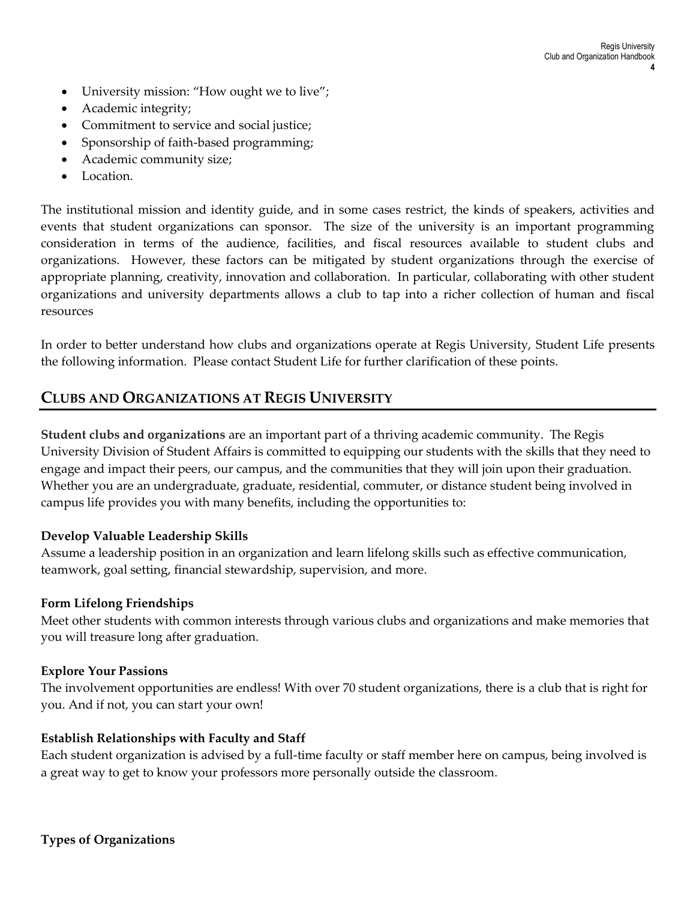- University mission: "How ought we to live";
- Academic integrity;
- Commitment to service and social justice;
- Sponsorship of faith-based programming;
- Academic community size;
- Location.

The institutional mission and identity guide, and in some cases restrict, the kinds of speakers, activities and events that student organizations can sponsor. The size of the university is an important programming consideration in terms of the audience, facilities, and fiscal resources available to student clubs and organizations. However, these factors can be mitigated by student organizations through the exercise of appropriate planning, creativity, innovation and collaboration. In particular, collaborating with other student organizations and university departments allows a club to tap into a richer collection of human and fiscal resources

In order to better understand how clubs and organizations operate at Regis University, Student Life presents the following information. Please contact Student Life for further clarification of these points.

# **CLUBS AND ORGANIZATIONS AT REGIS UNIVERSITY**

**Student clubs and organizations** are an important part of a thriving academic community. The Regis University Division of Student Affairs is committed to equipping our students with the skills that they need to engage and impact their peers, our campus, and the communities that they will join upon their graduation. Whether you are an undergraduate, graduate, residential, commuter, or distance student being involved in campus life provides you with many benefits, including the opportunities to:

## **Develop Valuable Leadership Skills**

Assume a leadership position in an organization and learn lifelong skills such as effective communication, teamwork, goal setting, financial stewardship, supervision, and more.

#### **Form Lifelong Friendships**

Meet other students with common interests through various clubs and organizations and make memories that you will treasure long after graduation.

#### **Explore Your Passions**

The involvement opportunities are endless! With over 70 student organizations, there is a club that is right for you. And if not, you can start your own!

#### **Establish Relationships with Faculty and Staff**

Each student organization is advised by a full-time faculty or staff member here on campus, being involved is a great way to get to know your professors more personally outside the classroom.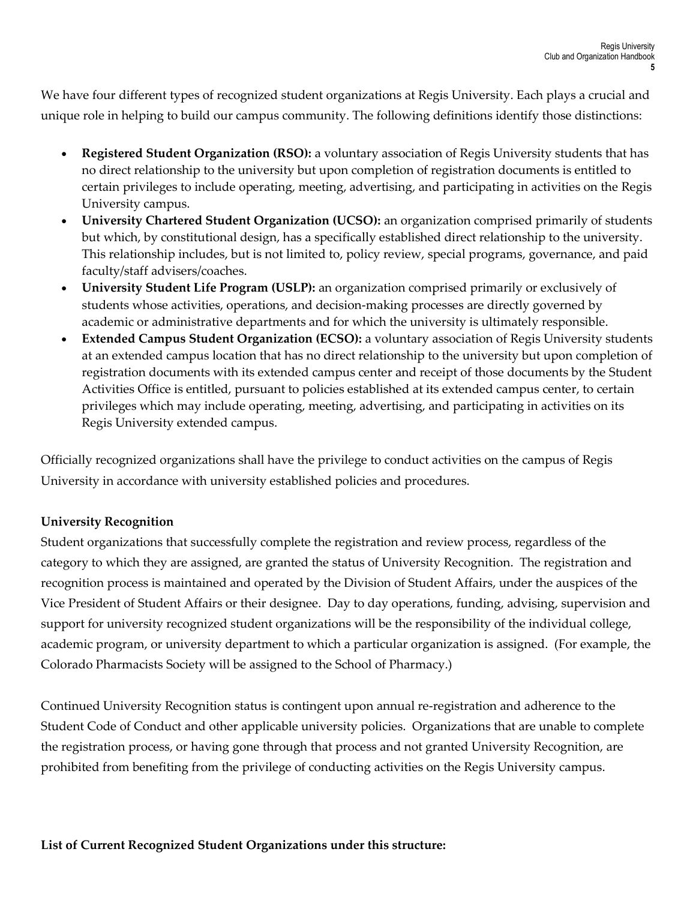We have four different types of recognized student organizations at Regis University. Each plays a crucial and unique role in helping to build our campus community. The following definitions identify those distinctions:

- **Registered Student Organization (RSO):** a voluntary association of Regis University students that has no direct relationship to the university but upon completion of registration documents is entitled to certain privileges to include operating, meeting, advertising, and participating in activities on the Regis University campus.
- **University Chartered Student Organization (UCSO):** an organization comprised primarily of students but which, by constitutional design, has a specifically established direct relationship to the university. This relationship includes, but is not limited to, policy review, special programs, governance, and paid faculty/staff advisers/coaches.
- **University Student Life Program (USLP):** an organization comprised primarily or exclusively of students whose activities, operations, and decision-making processes are directly governed by academic or administrative departments and for which the university is ultimately responsible.
- **Extended Campus Student Organization (ECSO):** a voluntary association of Regis University students at an extended campus location that has no direct relationship to the university but upon completion of registration documents with its extended campus center and receipt of those documents by the Student Activities Office is entitled, pursuant to policies established at its extended campus center, to certain privileges which may include operating, meeting, advertising, and participating in activities on its Regis University extended campus.

Officially recognized organizations shall have the privilege to conduct activities on the campus of Regis University in accordance with university established policies and procedures.

# **University Recognition**

Student organizations that successfully complete the registration and review process, regardless of the category to which they are assigned, are granted the status of University Recognition. The registration and recognition process is maintained and operated by the Division of Student Affairs, under the auspices of the Vice President of Student Affairs or their designee. Day to day operations, funding, advising, supervision and support for university recognized student organizations will be the responsibility of the individual college, academic program, or university department to which a particular organization is assigned. (For example, the Colorado Pharmacists Society will be assigned to the School of Pharmacy.)

Continued University Recognition status is contingent upon annual re-registration and adherence to the Student Code of Conduct and other applicable university policies. Organizations that are unable to complete the registration process, or having gone through that process and not granted University Recognition, are prohibited from benefiting from the privilege of conducting activities on the Regis University campus.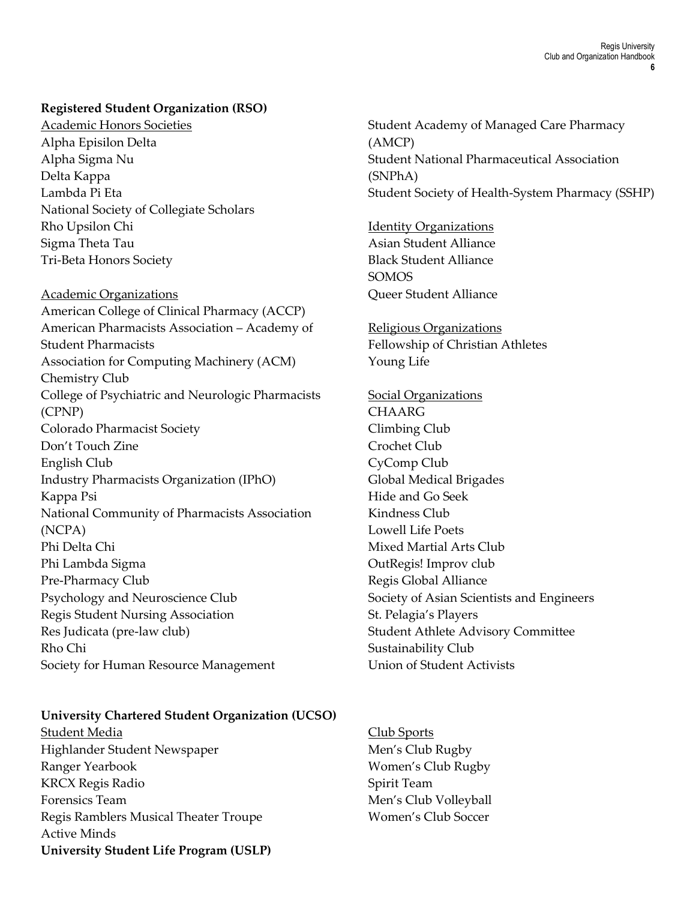#### **Registered Student Organization (RSO)**

Academic Honors Societies Alpha Episilon Delta Alpha Sigma Nu Delta Kappa Lambda Pi Eta National Society of Collegiate Scholars Rho Upsilon Chi Sigma Theta Tau Tri-Beta Honors Society

#### Academic Organizations

American College of Clinical Pharmacy (ACCP) American Pharmacists Association – Academy of Student Pharmacists Association for Computing Machinery (ACM) Chemistry Club College of Psychiatric and Neurologic Pharmacists (CPNP) Colorado Pharmacist Society Don't Touch Zine English Club Industry Pharmacists Organization (IPhO) Kappa Psi National Community of Pharmacists Association (NCPA) Phi Delta Chi Phi Lambda Sigma Pre-Pharmacy Club Psychology and Neuroscience Club Regis Student Nursing Association Res Judicata (pre-law club) Rho Chi Society for Human Resource Management

#### **University Chartered Student Organization (UCSO)**

Student Media Highlander Student Newspaper Ranger Yearbook KRCX Regis Radio Forensics Team Regis Ramblers Musical Theater Troupe Active Minds **University Student Life Program (USLP)** Student Academy of Managed Care Pharmacy (AMCP) Student National Pharmaceutical Association (SNPhA) Student Society of Health-System Pharmacy (SSHP)

Identity Organizations Asian Student Alliance Black Student Alliance SOMOS Queer Student Alliance

Religious Organizations Fellowship of Christian Athletes Young Life

Social Organizations **CHAARG** Climbing Club Crochet Club CyComp Club Global Medical Brigades Hide and Go Seek Kindness Club Lowell Life Poets Mixed Martial Arts Club OutRegis! Improv club Regis Global Alliance Society of Asian Scientists and Engineers St. Pelagia's Players Student Athlete Advisory Committee Sustainability Club Union of Student Activists

Club Sports Men's Club Rugby Women's Club Rugby Spirit Team Men's Club Volleyball Women's Club Soccer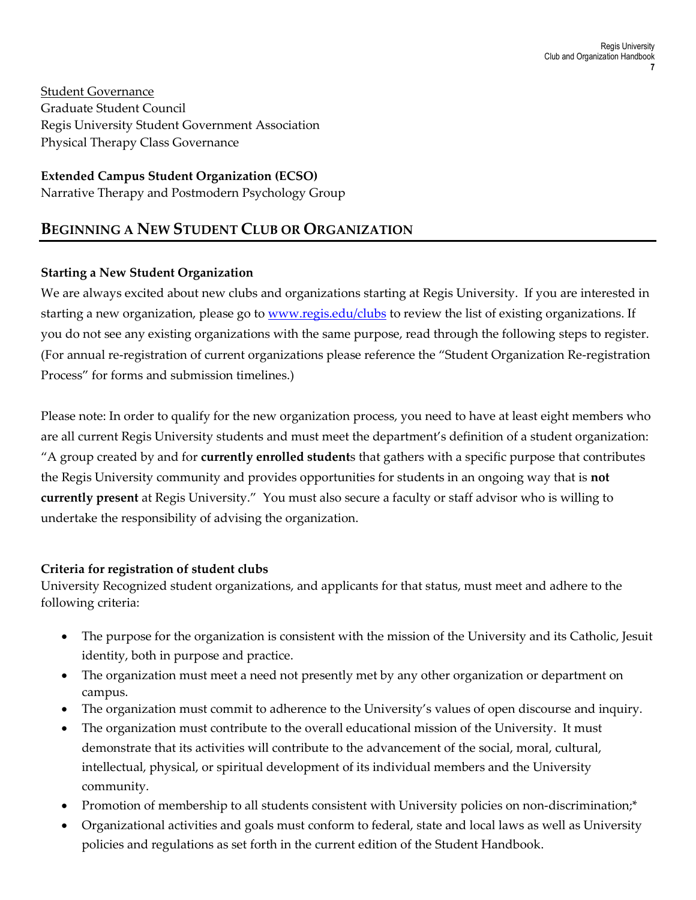Student Governance Graduate Student Council Regis University Student Government Association Physical Therapy Class Governance

## **Extended Campus Student Organization (ECSO)**

Narrative Therapy and Postmodern Psychology Group

# **BEGINNING A NEW STUDENT CLUB OR ORGANIZATION**

## **Starting a New Student Organization**

We are always excited about new clubs and organizations starting at Regis University. If you are interested in starting a new organization, please go to [www.regis.edu/clubs](http://www.regis.edu/clubs) to review the list of existing organizations. If you do not see any existing organizations with the same purpose, read through the following steps to register. (For annual re-registration of current organizations please reference the "Student Organization Re-registration Process" for forms and submission timelines.)

Please note: In order to qualify for the new organization process, you need to have at least eight members who are all current Regis University students and must meet the department's definition of a student organization: "A group created by and for **currently enrolled student**s that gathers with a specific purpose that contributes the Regis University community and provides opportunities for students in an ongoing way that is **not currently present** at Regis University." You must also secure a faculty or staff advisor who is willing to undertake the responsibility of advising the organization.

## **Criteria for registration of student clubs**

University Recognized student organizations, and applicants for that status, must meet and adhere to the following criteria:

- The purpose for the organization is consistent with the mission of the University and its Catholic, Jesuit identity, both in purpose and practice.
- The organization must meet a need not presently met by any other organization or department on campus.
- The organization must commit to adherence to the University's values of open discourse and inquiry.
- The organization must contribute to the overall educational mission of the University. It must demonstrate that its activities will contribute to the advancement of the social, moral, cultural, intellectual, physical, or spiritual development of its individual members and the University community.
- Promotion of membership to all students consistent with University policies on non-discrimination;\*
- Organizational activities and goals must conform to federal, state and local laws as well as University policies and regulations as set forth in the current edition of the Student Handbook.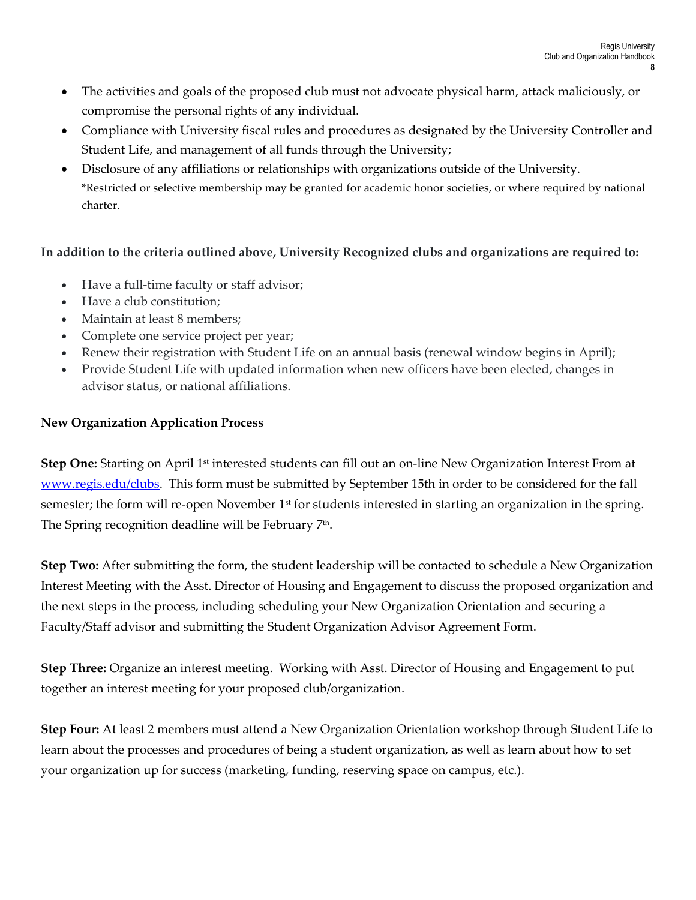- The activities and goals of the proposed club must not advocate physical harm, attack maliciously, or compromise the personal rights of any individual.
- Compliance with University fiscal rules and procedures as designated by the University Controller and Student Life, and management of all funds through the University;
- Disclosure of any affiliations or relationships with organizations outside of the University. \*Restricted or selective membership may be granted for academic honor societies, or where required by national charter.

## **In addition to the criteria outlined above, University Recognized clubs and organizations are required to:**

- Have a full-time faculty or staff advisor;
- Have a club constitution:
- Maintain at least 8 members:
- Complete one service project per year;
- Renew their registration with Student Life on an annual basis (renewal window begins in April);
- Provide Student Life with updated information when new officers have been elected, changes in advisor status, or national affiliations.

# **New Organization Application Process**

**Step One:** Starting on April 1st interested students can fill out an on-line New Organization Interest From at www.regis.edu/clubs. This form must be submitted by September 15th in order to be considered for the fall semester; the form will re-open November 1<sup>st</sup> for students interested in starting an organization in the spring. The Spring recognition deadline will be February 7th .

**Step Two:** After submitting the form, the student leadership will be contacted to schedule a New Organization Interest Meeting with the Asst. Director of Housing and Engagement to discuss the proposed organization and the next steps in the process, including scheduling your New Organization Orientation and securing a Faculty/Staff advisor and submitting the Student Organization Advisor Agreement Form.

**Step Three:** Organize an interest meeting. Working with Asst. Director of Housing and Engagement to put together an interest meeting for your proposed club/organization.

**Step Four:** At least 2 members must attend a New Organization Orientation workshop through Student Life to learn about the processes and procedures of being a student organization, as well as learn about how to set your organization up for success (marketing, funding, reserving space on campus, etc.).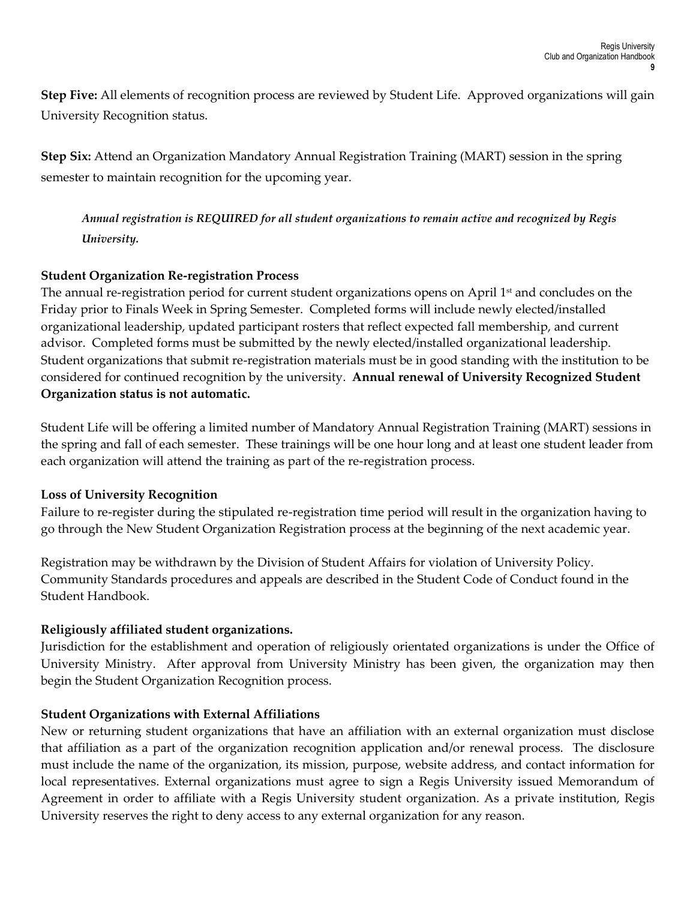**Step Five:** All elements of recognition process are reviewed by Student Life. Approved organizations will gain University Recognition status.

**Step Six:** Attend an Organization Mandatory Annual Registration Training (MART) session in the spring semester to maintain recognition for the upcoming year.

*Annual registration is REQUIRED for all student organizations to remain active and recognized by Regis University.* 

## **Student Organization Re-registration Process**

The annual re-registration period for current student organizations opens on April 1<sup>st</sup> and concludes on the Friday prior to Finals Week in Spring Semester. Completed forms will include newly elected/installed organizational leadership, updated participant rosters that reflect expected fall membership, and current advisor. Completed forms must be submitted by the newly elected/installed organizational leadership. Student organizations that submit re-registration materials must be in good standing with the institution to be considered for continued recognition by the university. **Annual renewal of University Recognized Student Organization status is not automatic.**

Student Life will be offering a limited number of Mandatory Annual Registration Training (MART) sessions in the spring and fall of each semester. These trainings will be one hour long and at least one student leader from each organization will attend the training as part of the re-registration process.

## **Loss of University Recognition**

Failure to re-register during the stipulated re-registration time period will result in the organization having to go through the New Student Organization Registration process at the beginning of the next academic year.

Registration may be withdrawn by the Division of Student Affairs for violation of University Policy. Community Standards procedures and appeals are described in the Student Code of Conduct found in the Student Handbook.

# **Religiously affiliated student organizations.**

Jurisdiction for the establishment and operation of religiously orientated organizations is under the Office of University Ministry. After approval from University Ministry has been given, the organization may then begin the Student Organization Recognition process.

## **Student Organizations with External Affiliations**

New or returning student organizations that have an affiliation with an external organization must disclose that affiliation as a part of the organization recognition application and/or renewal process. The disclosure must include the name of the organization, its mission, purpose, website address, and contact information for local representatives. External organizations must agree to sign a Regis University issued Memorandum of Agreement in order to affiliate with a Regis University student organization. As a private institution, Regis University reserves the right to deny access to any external organization for any reason.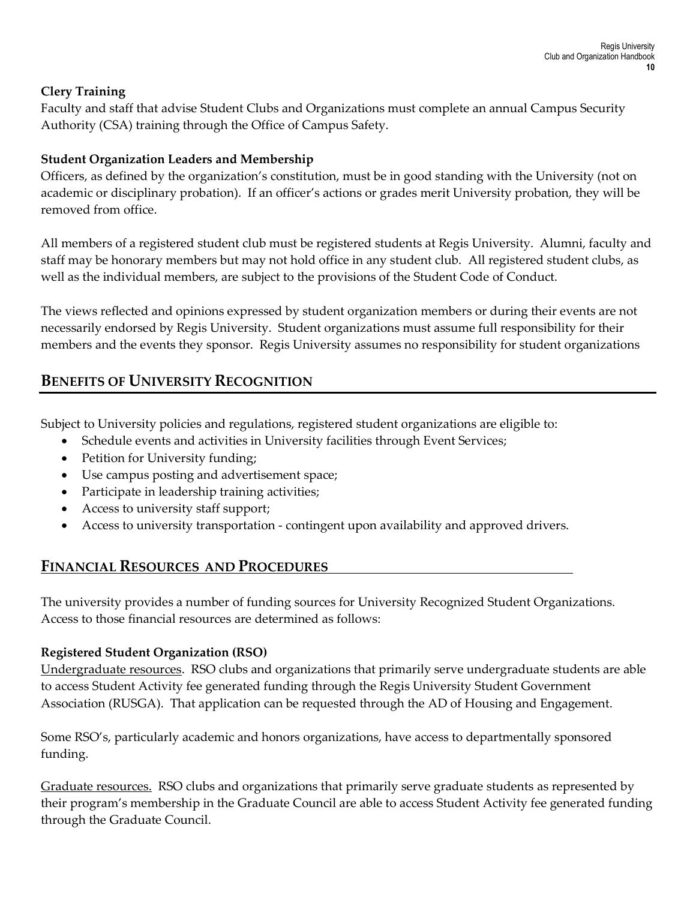## **Clery Training**

Faculty and staff that advise Student Clubs and Organizations must complete an annual Campus Security Authority (CSA) training through the Office of Campus Safety.

# **Student Organization Leaders and Membership**

Officers, as defined by the organization's constitution, must be in good standing with the University (not on academic or disciplinary probation). If an officer's actions or grades merit University probation, they will be removed from office.

All members of a registered student club must be registered students at Regis University. Alumni, faculty and staff may be honorary members but may not hold office in any student club. All registered student clubs, as well as the individual members, are subject to the provisions of the Student Code of Conduct.

The views reflected and opinions expressed by student organization members or during their events are not necessarily endorsed by Regis University. Student organizations must assume full responsibility for their members and the events they sponsor. Regis University assumes no responsibility for student organizations

# **BENEFITS OF UNIVERSITY RECOGNITION**

Subject to University policies and regulations, registered student organizations are eligible to:

- Schedule events and activities in University facilities through Event Services;
- Petition for University funding;
- Use campus posting and advertisement space;
- Participate in leadership training activities;
- Access to university staff support;
- Access to university transportation contingent upon availability and approved drivers.

# **FINANCIAL RESOURCES AND PROCEDURES**

The university provides a number of funding sources for University Recognized Student Organizations. Access to those financial resources are determined as follows:

# **Registered Student Organization (RSO)**

Undergraduate resources. RSO clubs and organizations that primarily serve undergraduate students are able to access Student Activity fee generated funding through the Regis University Student Government Association (RUSGA). That application can be requested through the AD of Housing and Engagement.

Some RSO's, particularly academic and honors organizations, have access to departmentally sponsored funding.

Graduate resources. RSO clubs and organizations that primarily serve graduate students as represented by their program's membership in the Graduate Council are able to access Student Activity fee generated funding through the Graduate Council.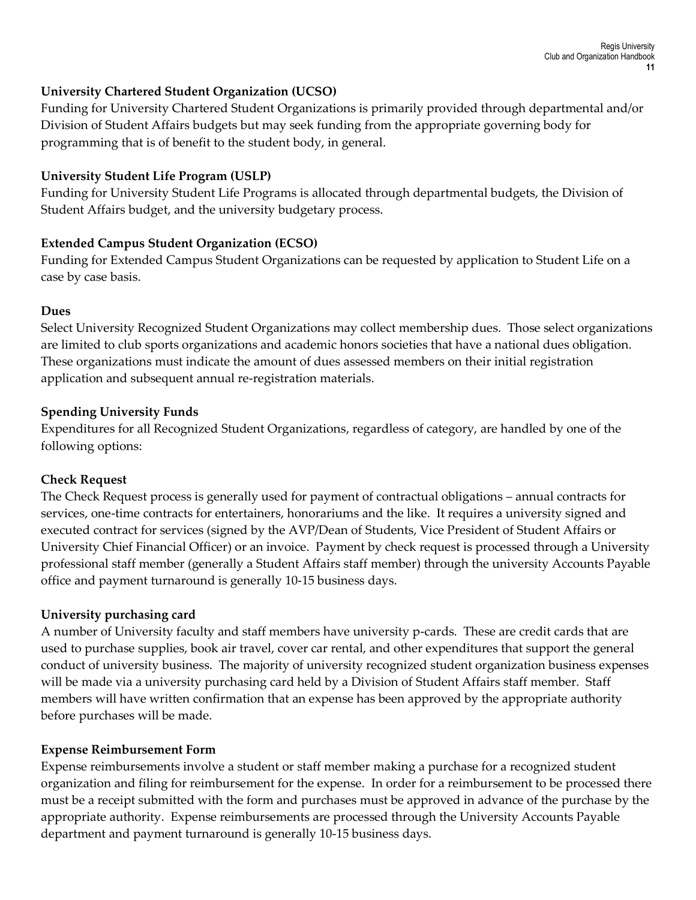#### **University Chartered Student Organization (UCSO)**

Funding for University Chartered Student Organizations is primarily provided through departmental and/or Division of Student Affairs budgets but may seek funding from the appropriate governing body for programming that is of benefit to the student body, in general.

#### **University Student Life Program (USLP)**

Funding for University Student Life Programs is allocated through departmental budgets, the Division of Student Affairs budget, and the university budgetary process.

## **Extended Campus Student Organization (ECSO)**

Funding for Extended Campus Student Organizations can be requested by application to Student Life on a case by case basis.

#### **Dues**

Select University Recognized Student Organizations may collect membership dues. Those select organizations are limited to club sports organizations and academic honors societies that have a national dues obligation. These organizations must indicate the amount of dues assessed members on their initial registration application and subsequent annual re-registration materials.

#### **Spending University Funds**

Expenditures for all Recognized Student Organizations, regardless of category, are handled by one of the following options:

#### **Check Request**

The Check Request process is generally used for payment of contractual obligations – annual contracts for services, one-time contracts for entertainers, honorariums and the like. It requires a university signed and executed contract for services (signed by the AVP/Dean of Students, Vice President of Student Affairs or University Chief Financial Officer) or an invoice. Payment by check request is processed through a University professional staff member (generally a Student Affairs staff member) through the university Accounts Payable office and payment turnaround is generally 10-15 business days.

#### **University purchasing card**

A number of University faculty and staff members have university p-cards. These are credit cards that are used to purchase supplies, book air travel, cover car rental, and other expenditures that support the general conduct of university business. The majority of university recognized student organization business expenses will be made via a university purchasing card held by a Division of Student Affairs staff member. Staff members will have written confirmation that an expense has been approved by the appropriate authority before purchases will be made.

#### **Expense Reimbursement Form**

Expense reimbursements involve a student or staff member making a purchase for a recognized student organization and filing for reimbursement for the expense. In order for a reimbursement to be processed there must be a receipt submitted with the form and purchases must be approved in advance of the purchase by the appropriate authority. Expense reimbursements are processed through the University Accounts Payable department and payment turnaround is generally 10-15 business days.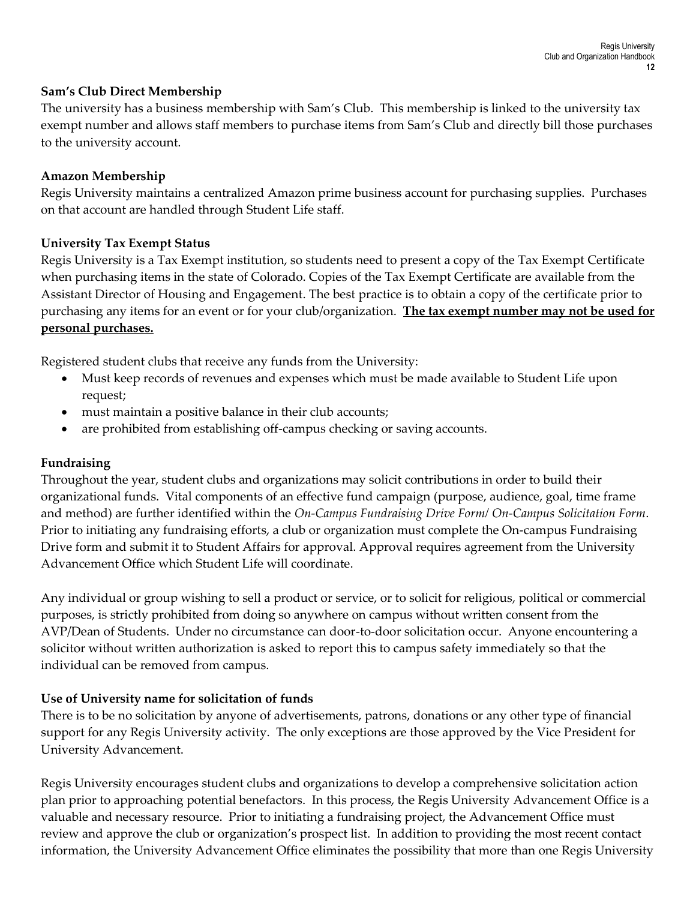#### **Sam's Club Direct Membership**

The university has a business membership with Sam's Club. This membership is linked to the university tax exempt number and allows staff members to purchase items from Sam's Club and directly bill those purchases to the university account.

#### **Amazon Membership**

Regis University maintains a centralized Amazon prime business account for purchasing supplies. Purchases on that account are handled through Student Life staff.

#### **University Tax Exempt Status**

Regis University is a Tax Exempt institution, so students need to present a copy of the Tax Exempt Certificate when purchasing items in the state of Colorado. Copies of the Tax Exempt Certificate are available from the Assistant Director of Housing and Engagement. The best practice is to obtain a copy of the certificate prior to purchasing any items for an event or for your club/organization. **The tax exempt number may not be used for personal purchases.**

Registered student clubs that receive any funds from the University:

- Must keep records of revenues and expenses which must be made available to Student Life upon request;
- must maintain a positive balance in their club accounts;
- are prohibited from establishing off-campus checking or saving accounts.

## **Fundraising**

Throughout the year, student clubs and organizations may solicit contributions in order to build their organizational funds. Vital components of an effective fund campaign (purpose, audience, goal, time frame and method) are further identified within the *On-Campus Fundraising Drive Form/ On-Campus Solicitation Form*. Prior to initiating any fundraising efforts, a club or organization must complete the On-campus Fundraising Drive form and submit it to Student Affairs for approval. Approval requires agreement from the University Advancement Office which Student Life will coordinate.

Any individual or group wishing to sell a product or service, or to solicit for religious, political or commercial purposes, is strictly prohibited from doing so anywhere on campus without written consent from the AVP/Dean of Students. Under no circumstance can door-to-door solicitation occur. Anyone encountering a solicitor without written authorization is asked to report this to campus safety immediately so that the individual can be removed from campus.

## **Use of University name for solicitation of funds**

There is to be no solicitation by anyone of advertisements, patrons, donations or any other type of financial support for any Regis University activity. The only exceptions are those approved by the Vice President for University Advancement.

Regis University encourages student clubs and organizations to develop a comprehensive solicitation action plan prior to approaching potential benefactors. In this process, the Regis University Advancement Office is a valuable and necessary resource. Prior to initiating a fundraising project, the Advancement Office must review and approve the club or organization's prospect list. In addition to providing the most recent contact information, the University Advancement Office eliminates the possibility that more than one Regis University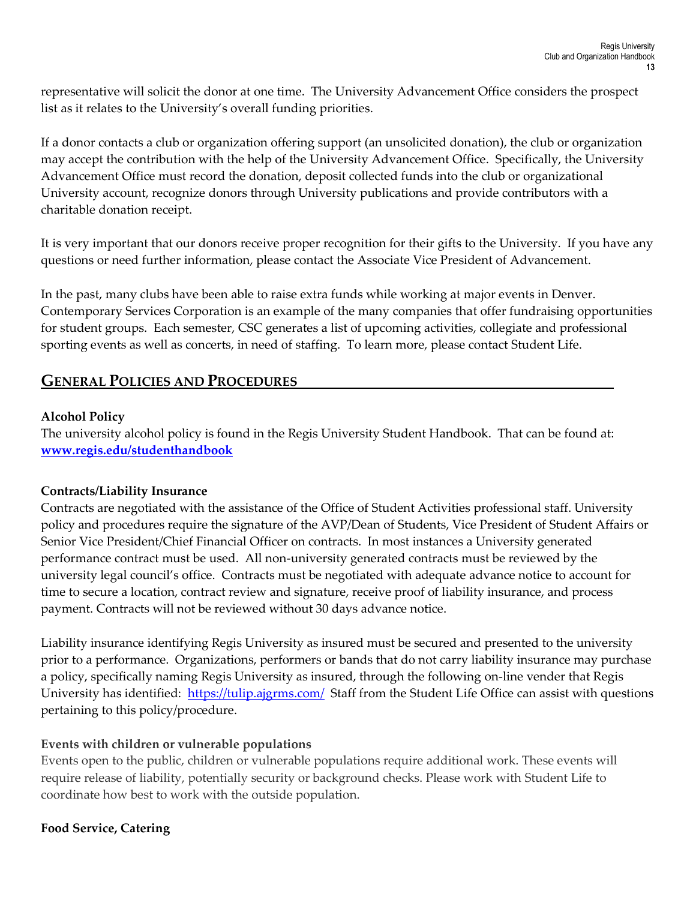representative will solicit the donor at one time. The University Advancement Office considers the prospect list as it relates to the University's overall funding priorities.

If a donor contacts a club or organization offering support (an unsolicited donation), the club or organization may accept the contribution with the help of the University Advancement Office. Specifically, the University Advancement Office must record the donation, deposit collected funds into the club or organizational University account, recognize donors through University publications and provide contributors with a charitable donation receipt.

It is very important that our donors receive proper recognition for their gifts to the University. If you have any questions or need further information, please contact the Associate Vice President of Advancement.

In the past, many clubs have been able to raise extra funds while working at major events in Denver. Contemporary Services Corporation is an example of the many companies that offer fundraising opportunities for student groups. Each semester, CSC generates a list of upcoming activities, collegiate and professional sporting events as well as concerts, in need of staffing. To learn more, please contact Student Life.

## **GENERAL POLICIES AND PROCEDURES**

#### **Alcohol Policy**

The university alcohol policy is found in the Regis University Student Handbook. That can be found at: **[www.regis.edu/studenthandbook](http://www.regis.edu/studenthandbook)**

## **Contracts/Liability Insurance**

Contracts are negotiated with the assistance of the Office of Student Activities professional staff. University policy and procedures require the signature of the AVP/Dean of Students, Vice President of Student Affairs or Senior Vice President/Chief Financial Officer on contracts. In most instances a University generated performance contract must be used. All non-university generated contracts must be reviewed by the university legal council's office. Contracts must be negotiated with adequate advance notice to account for time to secure a location, contract review and signature, receive proof of liability insurance, and process payment. Contracts will not be reviewed without 30 days advance notice.

Liability insurance identifying Regis University as insured must be secured and presented to the university prior to a performance. Organizations, performers or bands that do not carry liability insurance may purchase a policy, specifically naming Regis University as insured, through the following on-line vender that Regis University has identified: <https://tulip.ajgrms.com/>Staff from the Student Life Office can assist with questions pertaining to this policy/procedure.

## **Events with children or vulnerable populations**

Events open to the public, children or vulnerable populations require additional work. These events will require release of liability, potentially security or background checks. Please work with Student Life to coordinate how best to work with the outside population.

## **Food Service, Catering**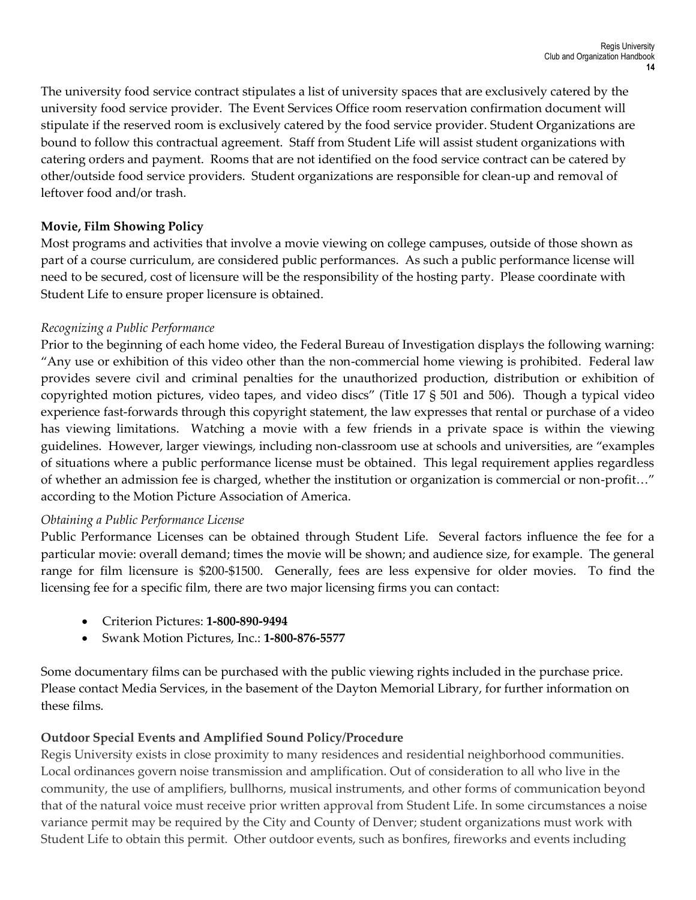The university food service contract stipulates a list of university spaces that are exclusively catered by the university food service provider. The Event Services Office room reservation confirmation document will stipulate if the reserved room is exclusively catered by the food service provider. Student Organizations are bound to follow this contractual agreement. Staff from Student Life will assist student organizations with catering orders and payment. Rooms that are not identified on the food service contract can be catered by other/outside food service providers. Student organizations are responsible for clean-up and removal of leftover food and/or trash.

# **Movie, Film Showing Policy**

Most programs and activities that involve a movie viewing on college campuses, outside of those shown as part of a course curriculum, are considered public performances. As such a public performance license will need to be secured, cost of licensure will be the responsibility of the hosting party. Please coordinate with Student Life to ensure proper licensure is obtained.

## *Recognizing a Public Performance*

Prior to the beginning of each home video, the Federal Bureau of Investigation displays the following warning: "Any use or exhibition of this video other than the non-commercial home viewing is prohibited. Federal law provides severe civil and criminal penalties for the unauthorized production, distribution or exhibition of copyrighted motion pictures, video tapes, and video discs" (Title 17 § 501 and 506). Though a typical video experience fast-forwards through this copyright statement, the law expresses that rental or purchase of a video has viewing limitations. Watching a movie with a few friends in a private space is within the viewing guidelines. However, larger viewings, including non-classroom use at schools and universities, are "examples of situations where a public performance license must be obtained. This legal requirement applies regardless of whether an admission fee is charged, whether the institution or organization is commercial or non-profit…" according to the Motion Picture Association of America.

## *Obtaining a Public Performance License*

Public Performance Licenses can be obtained through Student Life. Several factors influence the fee for a particular movie: overall demand; times the movie will be shown; and audience size, for example. The general range for film licensure is \$200-\$1500. Generally, fees are less expensive for older movies. To find the licensing fee for a specific film, there are two major licensing firms you can contact:

- Criterion Pictures: **1-800-890-9494**
- Swank Motion Pictures, Inc.: **1-800-876-5577**

Some documentary films can be purchased with the public viewing rights included in the purchase price. Please contact Media Services, in the basement of the Dayton Memorial Library, for further information on these films.

## **Outdoor Special Events and Amplified Sound Policy/Procedure**

Regis University exists in close proximity to many residences and residential neighborhood communities. Local ordinances govern noise transmission and amplification. Out of consideration to all who live in the community, the use of amplifiers, bullhorns, musical instruments, and other forms of communication beyond that of the natural voice must receive prior written approval from Student Life. In some circumstances a noise variance permit may be required by the City and County of Denver; student organizations must work with Student Life to obtain this permit. Other outdoor events, such as bonfires, fireworks and events including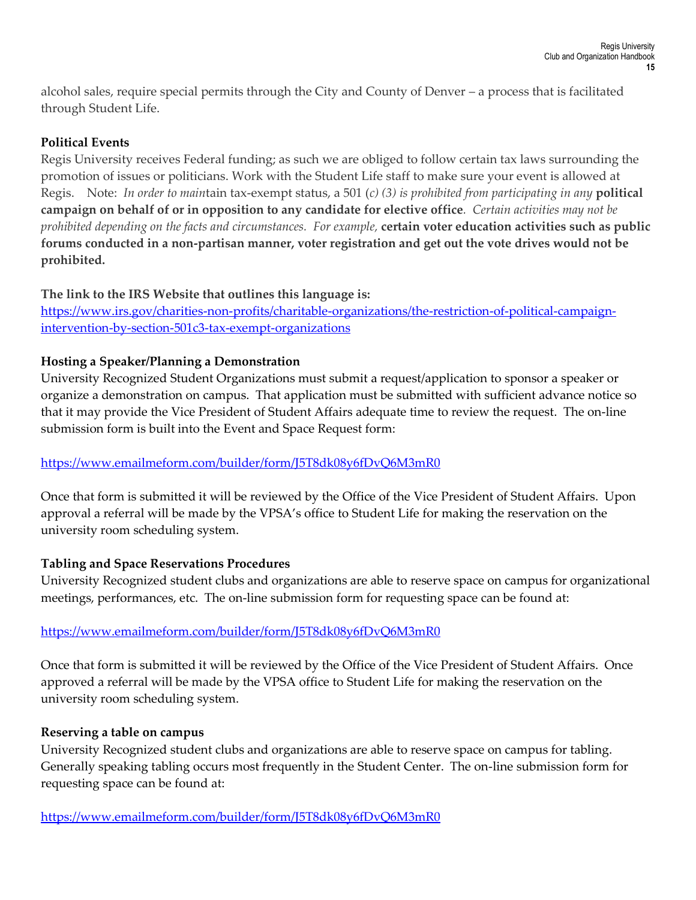alcohol sales, require special permits through the City and County of Denver – a process that is facilitated through Student Life.

## **Political Events**

Regis University receives Federal funding; as such we are obliged to follow certain tax laws surrounding the promotion of issues or politicians. Work with the Student Life staff to make sure your event is allowed at Regis. Note: *In order to main*tain tax-exempt status, a 501 (*c) (3) is prohibited from participating in any* **political campaign on behalf of or in opposition to any candidate for elective office***. Certain activities may not be prohibited depending on the facts and circumstances. For example,* **certain voter education activities such as public forums conducted in a non-partisan manner, voter registration and get out the vote drives would not be prohibited.** 

# **The link to the IRS Website that outlines this language is:**

[https://www.irs.gov/charities-non-profits/charitable-organizations/the-restriction-of-political-campaign](https://www.irs.gov/charities-non-profits/charitable-organizations/the-restriction-of-political-campaign-intervention-by-section-501c3-tax-exempt-organizations)[intervention-by-section-501c3-tax-exempt-organizations](https://www.irs.gov/charities-non-profits/charitable-organizations/the-restriction-of-political-campaign-intervention-by-section-501c3-tax-exempt-organizations)

# **Hosting a Speaker/Planning a Demonstration**

University Recognized Student Organizations must submit a request/application to sponsor a speaker or organize a demonstration on campus. That application must be submitted with sufficient advance notice so that it may provide the Vice President of Student Affairs adequate time to review the request. The on-line submission form is built into the Event and Space Request form:

# <https://www.emailmeform.com/builder/form/J5T8dk08y6fDvQ6M3mR0>

Once that form is submitted it will be reviewed by the Office of the Vice President of Student Affairs. Upon approval a referral will be made by the VPSA's office to Student Life for making the reservation on the university room scheduling system.

## **Tabling and Space Reservations Procedures**

University Recognized student clubs and organizations are able to reserve space on campus for organizational meetings, performances, etc. The on-line submission form for requesting space can be found at:

## <https://www.emailmeform.com/builder/form/J5T8dk08y6fDvQ6M3mR0>

Once that form is submitted it will be reviewed by the Office of the Vice President of Student Affairs. Once approved a referral will be made by the VPSA office to Student Life for making the reservation on the university room scheduling system.

## **Reserving a table on campus**

University Recognized student clubs and organizations are able to reserve space on campus for tabling. Generally speaking tabling occurs most frequently in the Student Center. The on-line submission form for requesting space can be found at:

<https://www.emailmeform.com/builder/form/J5T8dk08y6fDvQ6M3mR0>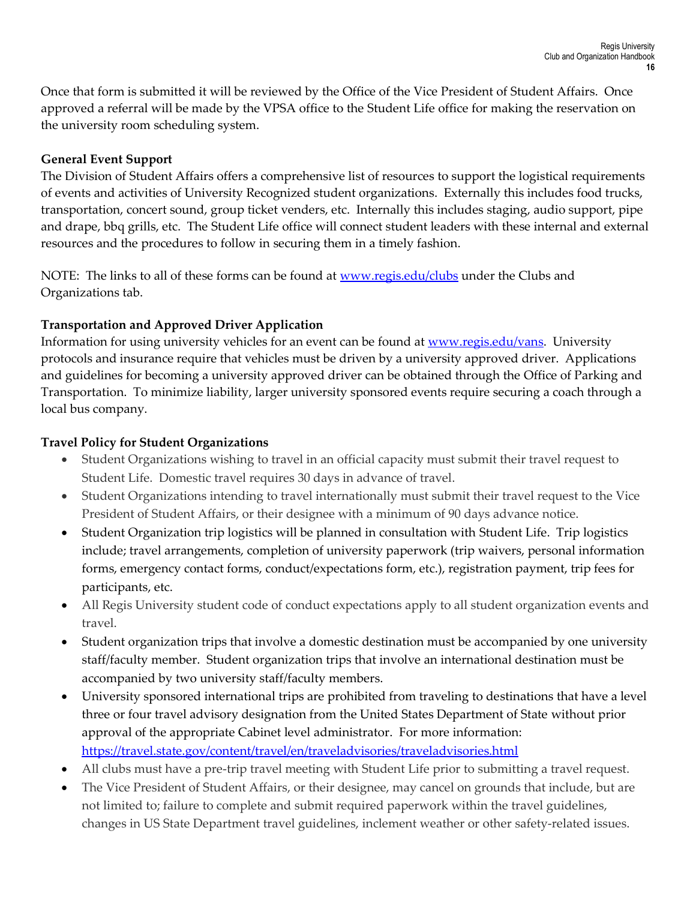Once that form is submitted it will be reviewed by the Office of the Vice President of Student Affairs. Once approved a referral will be made by the VPSA office to the Student Life office for making the reservation on the university room scheduling system.

## **General Event Support**

The Division of Student Affairs offers a comprehensive list of resources to support the logistical requirements of events and activities of University Recognized student organizations. Externally this includes food trucks, transportation, concert sound, group ticket venders, etc. Internally this includes staging, audio support, pipe and drape, bbq grills, etc. The Student Life office will connect student leaders with these internal and external resources and the procedures to follow in securing them in a timely fashion.

NOTE: The links to all of these forms can be found at [www.regis.edu/clubs](http://www.regis.edu/clubs) under the Clubs and Organizations tab.

# **Transportation and Approved Driver Application**

Information for using university vehicles for an event can be found at [www.regis.edu/vans.](http://www.regis.edu/vans) University protocols and insurance require that vehicles must be driven by a university approved driver. Applications and guidelines for becoming a university approved driver can be obtained through the Office of Parking and Transportation. To minimize liability, larger university sponsored events require securing a coach through a local bus company.

## **Travel Policy for Student Organizations**

- Student Organizations wishing to travel in an official capacity must submit their travel request to Student Life. Domestic travel requires 30 days in advance of travel.
- Student Organizations intending to travel internationally must submit their travel request to the Vice President of Student Affairs, or their designee with a minimum of 90 days advance notice.
- Student Organization trip logistics will be planned in consultation with Student Life. Trip logistics include; travel arrangements, completion of university paperwork (trip waivers, personal information forms, emergency contact forms, conduct/expectations form, etc.), registration payment, trip fees for participants, etc.
- All Regis University student code of conduct expectations apply to all student organization events and travel.
- Student organization trips that involve a domestic destination must be accompanied by one university staff/faculty member. Student organization trips that involve an international destination must be accompanied by two university staff/faculty members.
- University sponsored international trips are prohibited from traveling to destinations that have a level three or four travel advisory designation from the United States Department of State without prior approval of the appropriate Cabinet level administrator. For more information: <https://travel.state.gov/content/travel/en/traveladvisories/traveladvisories.html>
- All clubs must have a pre-trip travel meeting with Student Life prior to submitting a travel request.
- The Vice President of Student Affairs, or their designee, may cancel on grounds that include, but are not limited to; failure to complete and submit required paperwork within the travel guidelines, changes in US State Department travel guidelines, inclement weather or other safety-related issues.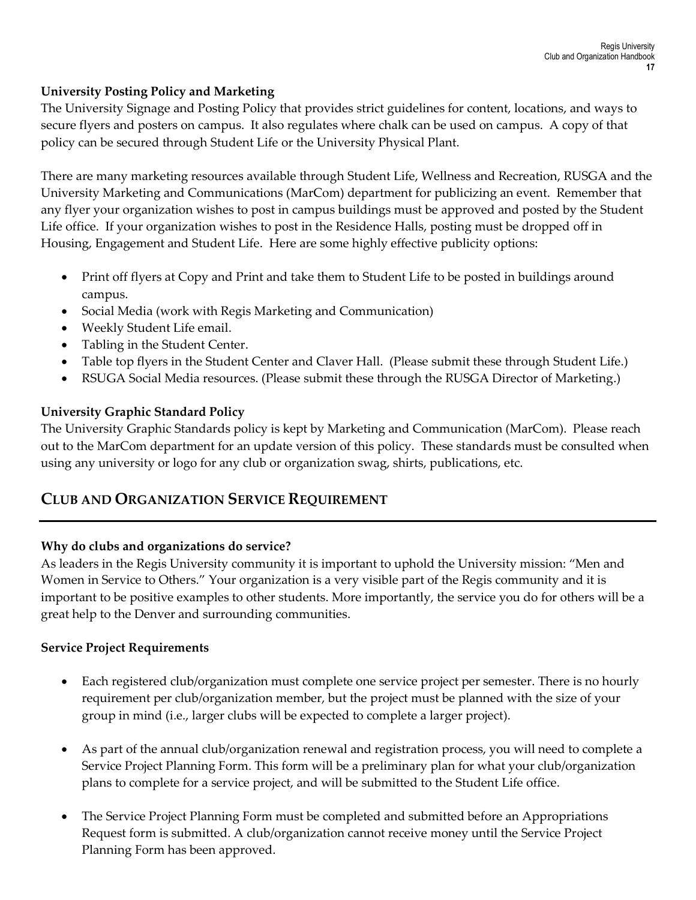## **University Posting Policy and Marketing**

The University Signage and Posting Policy that provides strict guidelines for content, locations, and ways to secure flyers and posters on campus. It also regulates where chalk can be used on campus. A copy of that policy can be secured through Student Life or the University Physical Plant.

There are many marketing resources available through Student Life, Wellness and Recreation, RUSGA and the University Marketing and Communications (MarCom) department for publicizing an event. Remember that any flyer your organization wishes to post in campus buildings must be approved and posted by the Student Life office. If your organization wishes to post in the Residence Halls, posting must be dropped off in Housing, Engagement and Student Life. Here are some highly effective publicity options:

- Print off flyers at Copy and Print and take them to Student Life to be posted in buildings around campus.
- Social Media (work with Regis Marketing and Communication)
- Weekly Student Life email.
- Tabling in the Student Center.
- Table top flyers in the Student Center and Claver Hall. (Please submit these through Student Life.)
- RSUGA Social Media resources. (Please submit these through the RUSGA Director of Marketing.)

# **University Graphic Standard Policy**

The University Graphic Standards policy is kept by Marketing and Communication (MarCom). Please reach out to the MarCom department for an update version of this policy. These standards must be consulted when using any university or logo for any club or organization swag, shirts, publications, etc.

# **CLUB AND ORGANIZATION SERVICE REQUIREMENT**

## **Why do clubs and organizations do service?**

As leaders in the Regis University community it is important to uphold the University mission: "Men and Women in Service to Others." Your organization is a very visible part of the Regis community and it is important to be positive examples to other students. More importantly, the service you do for others will be a great help to the Denver and surrounding communities.

## **Service Project Requirements**

- Each registered club/organization must complete one service project per semester. There is no hourly requirement per club/organization member, but the project must be planned with the size of your group in mind (i.e., larger clubs will be expected to complete a larger project).
- As part of the annual club/organization renewal and registration process, you will need to complete a Service Project Planning Form. This form will be a preliminary plan for what your club/organization plans to complete for a service project, and will be submitted to the Student Life office.
- The Service Project Planning Form must be completed and submitted before an Appropriations Request form is submitted. A club/organization cannot receive money until the Service Project Planning Form has been approved.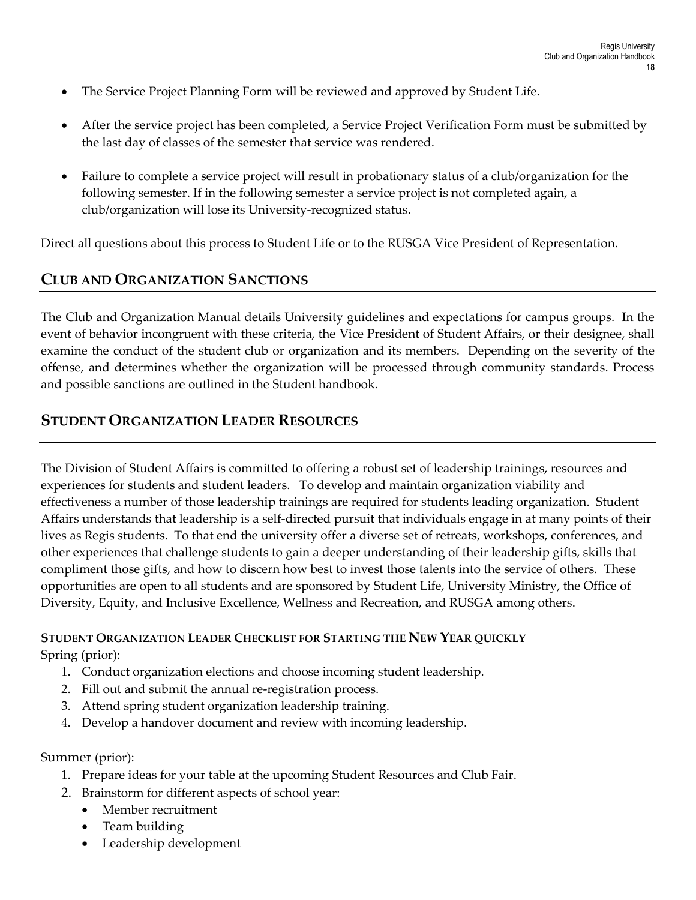- The Service Project Planning Form will be reviewed and approved by Student Life.
- After the service project has been completed, a Service Project Verification Form must be submitted by the last day of classes of the semester that service was rendered.
- Failure to complete a service project will result in probationary status of a club/organization for the following semester. If in the following semester a service project is not completed again, a club/organization will lose its University-recognized status.

Direct all questions about this process to Student Life or to the RUSGA Vice President of Representation.

# **CLUB AND ORGANIZATION SANCTIONS**

The Club and Organization Manual details University guidelines and expectations for campus groups. In the event of behavior incongruent with these criteria, the Vice President of Student Affairs, or their designee, shall examine the conduct of the student club or organization and its members. Depending on the severity of the offense, and determines whether the organization will be processed through community standards. Process and possible sanctions are outlined in the Student handbook.

# **STUDENT ORGANIZATION LEADER RESOURCES**

The Division of Student Affairs is committed to offering a robust set of leadership trainings, resources and experiences for students and student leaders. To develop and maintain organization viability and effectiveness a number of those leadership trainings are required for students leading organization. Student Affairs understands that leadership is a self-directed pursuit that individuals engage in at many points of their lives as Regis students. To that end the university offer a diverse set of retreats, workshops, conferences, and other experiences that challenge students to gain a deeper understanding of their leadership gifts, skills that compliment those gifts, and how to discern how best to invest those talents into the service of others. These opportunities are open to all students and are sponsored by Student Life, University Ministry, the Office of Diversity, Equity, and Inclusive Excellence, Wellness and Recreation, and RUSGA among others.

**STUDENT ORGANIZATION LEADER CHECKLIST FOR STARTING THE NEW YEAR QUICKLY** Spring (prior):

- 1. Conduct organization elections and choose incoming student leadership.
- 2. Fill out and submit the annual re-registration process.
- 3. Attend spring student organization leadership training.
- 4. Develop a handover document and review with incoming leadership.

Summer (prior):

- 1. Prepare ideas for your table at the upcoming Student Resources and Club Fair.
- 2. Brainstorm for different aspects of school year:
	- Member recruitment
	- Team building
	- Leadership development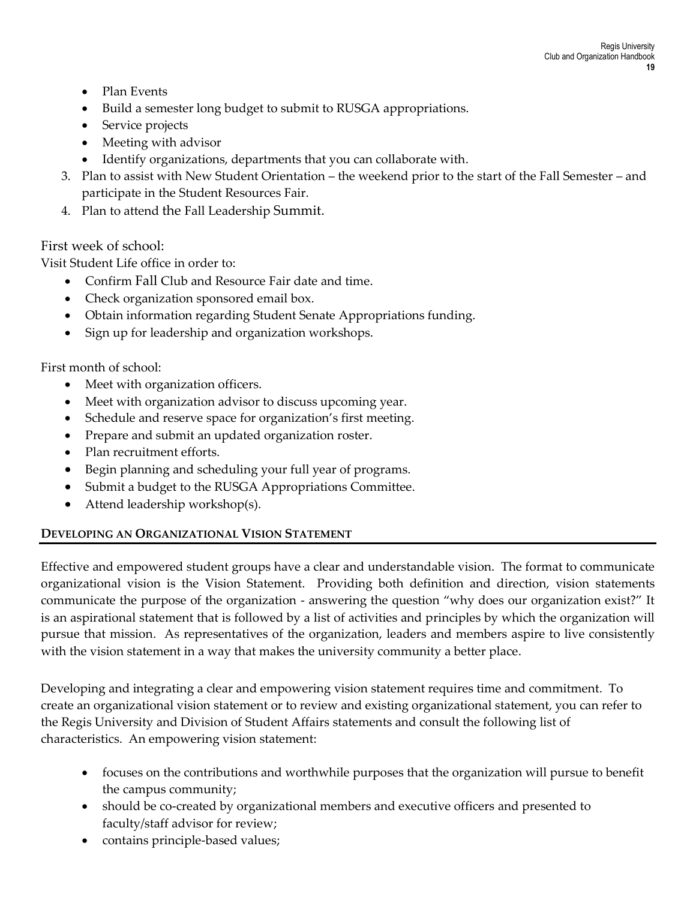- Plan Events
- Build a semester long budget to submit to RUSGA appropriations.
- Service projects
- Meeting with advisor
- Identify organizations, departments that you can collaborate with.
- 3. Plan to assist with New Student Orientation the weekend prior to the start of the Fall Semester and participate in the Student Resources Fair.
- 4. Plan to attend the Fall Leadership Summit.

# First week of school:

Visit Student Life office in order to:

- Confirm Fall Club and Resource Fair date and time.
- Check organization sponsored email box.
- Obtain information regarding Student Senate Appropriations funding.
- Sign up for leadership and organization workshops.

First month of school:

- Meet with organization officers.
- Meet with organization advisor to discuss upcoming year.
- Schedule and reserve space for organization's first meeting.
- Prepare and submit an updated organization roster.
- Plan recruitment efforts.
- Begin planning and scheduling your full year of programs.
- Submit a budget to the RUSGA Appropriations Committee.
- Attend leadership workshop(s).

## **DEVELOPING AN ORGANIZATIONAL VISION STATEMENT**

Effective and empowered student groups have a clear and understandable vision. The format to communicate organizational vision is the Vision Statement. Providing both definition and direction, vision statements communicate the purpose of the organization - answering the question "why does our organization exist?" It is an aspirational statement that is followed by a list of activities and principles by which the organization will pursue that mission. As representatives of the organization, leaders and members aspire to live consistently with the vision statement in a way that makes the university community a better place.

Developing and integrating a clear and empowering vision statement requires time and commitment. To create an organizational vision statement or to review and existing organizational statement, you can refer to the Regis University and Division of Student Affairs statements and consult the following list of characteristics. An empowering vision statement:

- focuses on the contributions and worthwhile purposes that the organization will pursue to benefit the campus community;
- should be co-created by organizational members and executive officers and presented to faculty/staff advisor for review;
- contains principle-based values;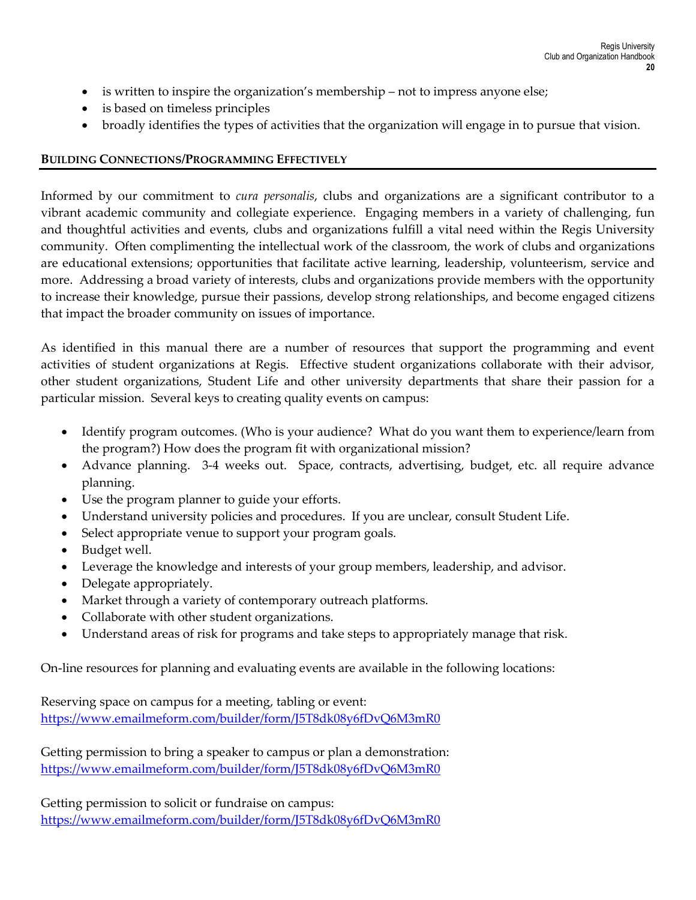- is written to inspire the organization's membership not to impress anyone else;
- is based on timeless principles
- broadly identifies the types of activities that the organization will engage in to pursue that vision.

#### **BUILDING CONNECTIONS/PROGRAMMING EFFECTIVELY**

Informed by our commitment to *cura personalis*, clubs and organizations are a significant contributor to a vibrant academic community and collegiate experience. Engaging members in a variety of challenging, fun and thoughtful activities and events, clubs and organizations fulfill a vital need within the Regis University community. Often complimenting the intellectual work of the classroom, the work of clubs and organizations are educational extensions; opportunities that facilitate active learning, leadership, volunteerism, service and more. Addressing a broad variety of interests, clubs and organizations provide members with the opportunity to increase their knowledge, pursue their passions, develop strong relationships, and become engaged citizens that impact the broader community on issues of importance.

As identified in this manual there are a number of resources that support the programming and event activities of student organizations at Regis. Effective student organizations collaborate with their advisor, other student organizations, Student Life and other university departments that share their passion for a particular mission. Several keys to creating quality events on campus:

- Identify program outcomes. (Who is your audience? What do you want them to experience/learn from the program?) How does the program fit with organizational mission?
- Advance planning. 3-4 weeks out. Space, contracts, advertising, budget, etc. all require advance planning.
- Use the program planner to guide your efforts.
- Understand university policies and procedures. If you are unclear, consult Student Life.
- Select appropriate venue to support your program goals.
- Budget well.
- Leverage the knowledge and interests of your group members, leadership, and advisor.
- Delegate appropriately.
- Market through a variety of contemporary outreach platforms.
- Collaborate with other student organizations.
- Understand areas of risk for programs and take steps to appropriately manage that risk.

On-line resources for planning and evaluating events are available in the following locations:

Reserving space on campus for a meeting, tabling or event: <https://www.emailmeform.com/builder/form/J5T8dk08y6fDvQ6M3mR0>

Getting permission to bring a speaker to campus or plan a demonstration: <https://www.emailmeform.com/builder/form/J5T8dk08y6fDvQ6M3mR0>

Getting permission to solicit or fundraise on campus: <https://www.emailmeform.com/builder/form/J5T8dk08y6fDvQ6M3mR0>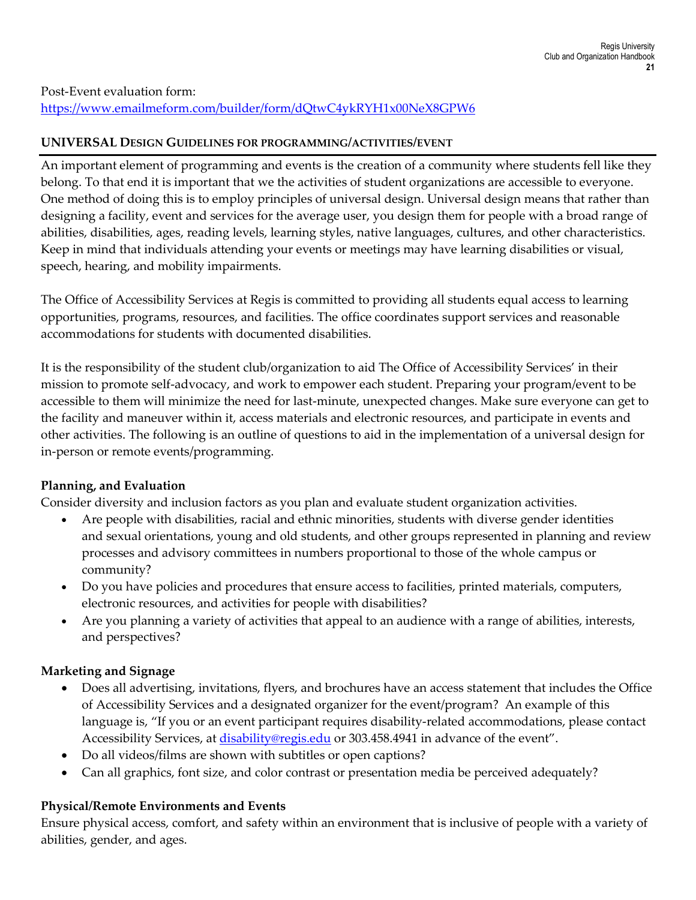#### **UNIVERSAL DESIGN GUIDELINES FOR PROGRAMMING/ACTIVITIES/EVENT**

An important element of programming and events is the creation of a community where students fell like they belong. To that end it is important that we the activities of student organizations are accessible to everyone. One method of doing this is to employ principles of universal design. Universal design means that rather than designing a facility, event and services for the average user, you design them for people with a broad range of abilities, disabilities, ages, reading levels, learning styles, native languages, cultures, and other characteristics. Keep in mind that individuals attending your events or meetings may have learning disabilities or visual, speech, hearing, and mobility impairments.

The Office of Accessibility Services at Regis is committed to providing all students equal access to learning opportunities, programs, resources, and facilities. The office coordinates support services and reasonable accommodations for students with documented disabilities.

It is the responsibility of the student club/organization to aid The Office of Accessibility Services' in their mission to promote self-advocacy, and work to empower each student. Preparing your program/event to be accessible to them will minimize the need for last-minute, unexpected changes. Make sure everyone can get to the facility and maneuver within it, access materials and electronic resources, and participate in events and other activities. The following is an outline of questions to aid in the implementation of a universal design for in-person or remote events/programming.

## **Planning, and Evaluation**

Consider diversity and inclusion factors as you plan and evaluate student organization activities.

- Are people with disabilities, racial and ethnic minorities, students with diverse gender identities and sexual orientations, young and old students, and other groups represented in planning and review processes and advisory committees in numbers proportional to those of the whole campus or community?
- Do you have policies and procedures that ensure access to facilities, printed materials, computers, electronic resources, and activities for people with disabilities?
- Are you planning a variety of activities that appeal to an audience with a range of abilities, interests, and perspectives?

## **Marketing and Signage**

- Does all advertising, invitations, flyers, and brochures have an access statement that includes the Office of Accessibility Services and a designated organizer for the event/program? An example of this language is, "If you or an event participant requires disability-related accommodations, please contact Accessibility Services, at [disability@regis.edu](mailto:disability@regis.edu) or 303.458.4941 in advance of the event".
- Do all videos/films are shown with subtitles or open captions?
- Can all graphics, font size, and color contrast or presentation media be perceived adequately?

## **Physical/Remote Environments and Events**

Ensure physical access, comfort, and safety within an environment that is inclusive of people with a variety of abilities, gender, and ages.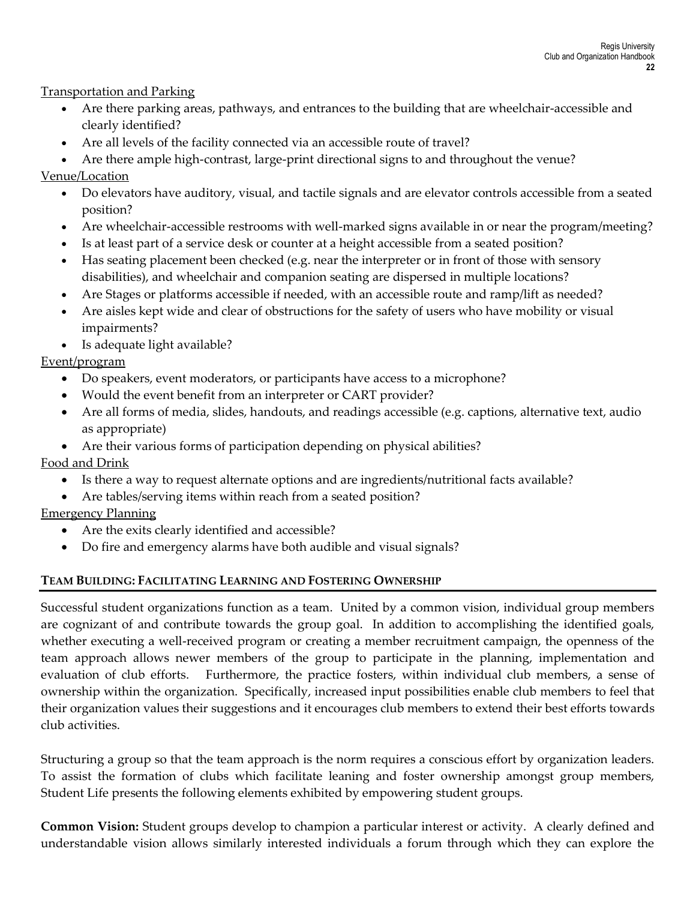Transportation and Parking

- Are there parking areas, pathways, and entrances to the building that are wheelchair-accessible and clearly identified?
- Are all levels of the facility connected via an accessible route of travel?

• Are there ample high-contrast, large-print directional signs to and throughout the venue? Venue/Location

- Do elevators have auditory, visual, and tactile signals and are elevator controls accessible from a seated position?
- Are wheelchair-accessible restrooms with well-marked signs available in or near the program/meeting?
- Is at least part of a service desk or counter at a height accessible from a seated position?
- Has seating placement been checked (e.g. near the interpreter or in front of those with sensory disabilities), and wheelchair and companion seating are dispersed in multiple locations?
- Are Stages or platforms accessible if needed, with an accessible route and ramp/lift as needed?
- Are aisles kept wide and clear of obstructions for the safety of users who have mobility or visual impairments?
- Is adequate light available?

Event/program

- Do speakers, event moderators, or participants have access to a microphone?
- Would the event benefit from an interpreter or CART provider?
- Are all forms of media, slides, handouts, and readings accessible (e.g. captions, alternative text, audio as appropriate)
- Are their various forms of participation depending on physical abilities?

Food and Drink

- Is there a way to request alternate options and are ingredients/nutritional facts available?
- Are tables/serving items within reach from a seated position?

Emergency Planning

- Are the exits clearly identified and accessible?
- Do fire and emergency alarms have both audible and visual signals?

## **TEAM BUILDING: FACILITATING LEARNING AND FOSTERING OWNERSHIP**

Successful student organizations function as a team. United by a common vision, individual group members are cognizant of and contribute towards the group goal. In addition to accomplishing the identified goals, whether executing a well-received program or creating a member recruitment campaign, the openness of the team approach allows newer members of the group to participate in the planning, implementation and evaluation of club efforts. Furthermore, the practice fosters, within individual club members, a sense of ownership within the organization. Specifically, increased input possibilities enable club members to feel that their organization values their suggestions and it encourages club members to extend their best efforts towards club activities.

Structuring a group so that the team approach is the norm requires a conscious effort by organization leaders. To assist the formation of clubs which facilitate leaning and foster ownership amongst group members, Student Life presents the following elements exhibited by empowering student groups.

**Common Vision:** Student groups develop to champion a particular interest or activity. A clearly defined and understandable vision allows similarly interested individuals a forum through which they can explore the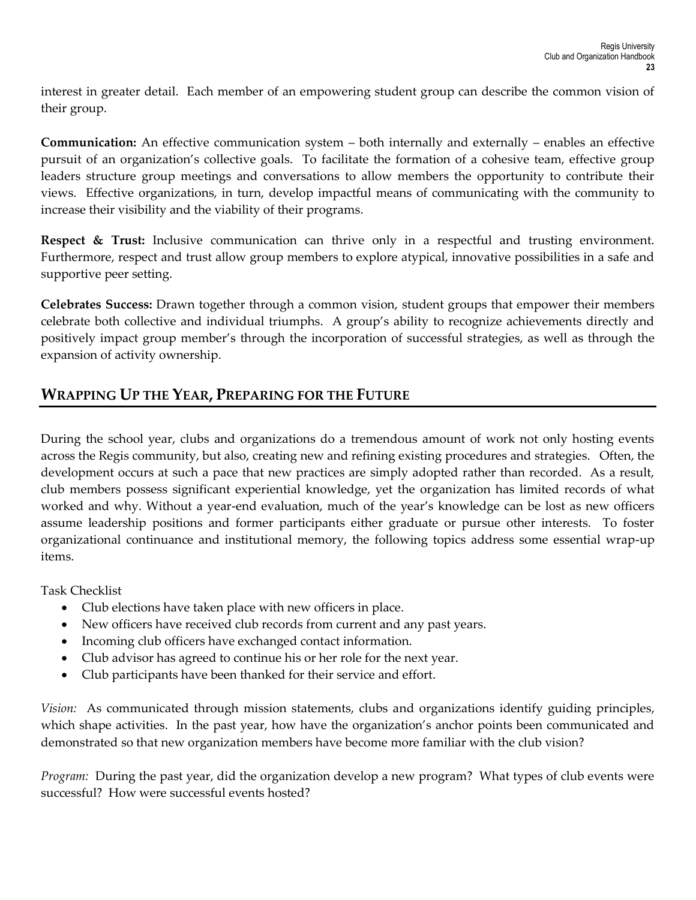interest in greater detail. Each member of an empowering student group can describe the common vision of their group.

**Communication:** An effective communication system – both internally and externally – enables an effective pursuit of an organization's collective goals. To facilitate the formation of a cohesive team, effective group leaders structure group meetings and conversations to allow members the opportunity to contribute their views. Effective organizations, in turn, develop impactful means of communicating with the community to increase their visibility and the viability of their programs.

**Respect & Trust:** Inclusive communication can thrive only in a respectful and trusting environment. Furthermore, respect and trust allow group members to explore atypical, innovative possibilities in a safe and supportive peer setting.

**Celebrates Success:** Drawn together through a common vision, student groups that empower their members celebrate both collective and individual triumphs. A group's ability to recognize achievements directly and positively impact group member's through the incorporation of successful strategies, as well as through the expansion of activity ownership.

# **WRAPPING UP THE YEAR, PREPARING FOR THE FUTURE**

During the school year, clubs and organizations do a tremendous amount of work not only hosting events across the Regis community, but also, creating new and refining existing procedures and strategies. Often, the development occurs at such a pace that new practices are simply adopted rather than recorded. As a result, club members possess significant experiential knowledge, yet the organization has limited records of what worked and why. Without a year-end evaluation, much of the year's knowledge can be lost as new officers assume leadership positions and former participants either graduate or pursue other interests. To foster organizational continuance and institutional memory, the following topics address some essential wrap-up items.

Task Checklist

- Club elections have taken place with new officers in place.
- New officers have received club records from current and any past years.
- Incoming club officers have exchanged contact information.
- Club advisor has agreed to continue his or her role for the next year.
- Club participants have been thanked for their service and effort.

*Vision:* As communicated through mission statements, clubs and organizations identify guiding principles, which shape activities. In the past year, how have the organization's anchor points been communicated and demonstrated so that new organization members have become more familiar with the club vision?

*Program:* During the past year, did the organization develop a new program? What types of club events were successful? How were successful events hosted?